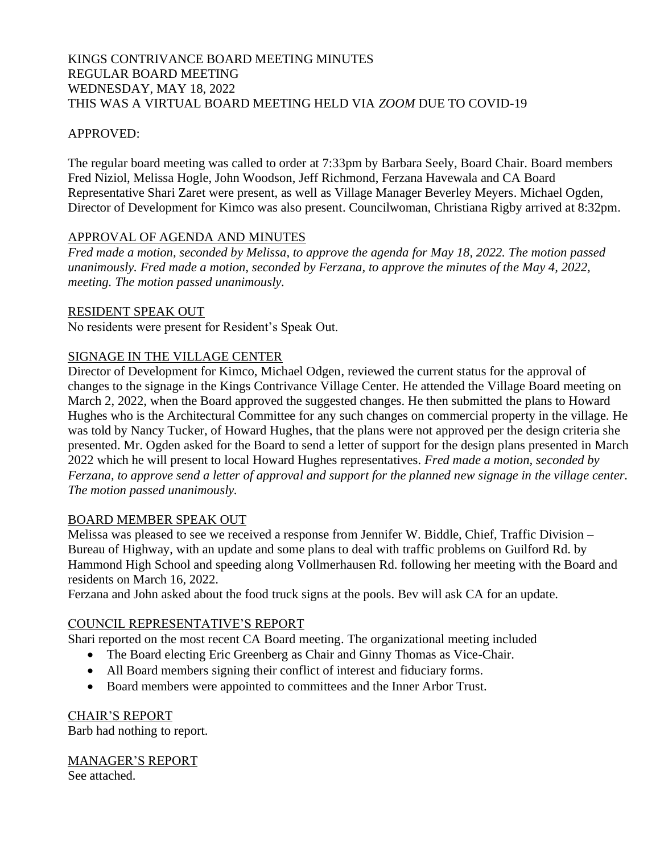#### KINGS CONTRIVANCE BOARD MEETING MINUTES REGULAR BOARD MEETING WEDNESDAY, MAY 18, 2022 THIS WAS A VIRTUAL BOARD MEETING HELD VIA *ZOOM* DUE TO COVID-19

#### APPROVED:

The regular board meeting was called to order at 7:33pm by Barbara Seely, Board Chair. Board members Fred Niziol, Melissa Hogle, John Woodson, Jeff Richmond, Ferzana Havewala and CA Board Representative Shari Zaret were present, as well as Village Manager Beverley Meyers. Michael Ogden, Director of Development for Kimco was also present. Councilwoman, Christiana Rigby arrived at 8:32pm.

#### APPROVAL OF AGENDA AND MINUTES

*Fred made a motion, seconded by Melissa, to approve the agenda for May 18, 2022. The motion passed unanimously. Fred made a motion, seconded by Ferzana, to approve the minutes of the May 4, 2022, meeting. The motion passed unanimously.*

#### RESIDENT SPEAK OUT

No residents were present for Resident's Speak Out.

## SIGNAGE IN THE VILLAGE CENTER

Director of Development for Kimco, Michael Odgen, reviewed the current status for the approval of changes to the signage in the Kings Contrivance Village Center. He attended the Village Board meeting on March 2, 2022, when the Board approved the suggested changes. He then submitted the plans to Howard Hughes who is the Architectural Committee for any such changes on commercial property in the village. He was told by Nancy Tucker, of Howard Hughes, that the plans were not approved per the design criteria she presented. Mr. Ogden asked for the Board to send a letter of support for the design plans presented in March 2022 which he will present to local Howard Hughes representatives. *Fred made a motion, seconded by Ferzana, to approve send a letter of approval and support for the planned new signage in the village center. The motion passed unanimously.* 

#### BOARD MEMBER SPEAK OUT

Melissa was pleased to see we received a response from Jennifer W. Biddle, Chief, Traffic Division – Bureau of Highway, with an update and some plans to deal with traffic problems on Guilford Rd. by Hammond High School and speeding along Vollmerhausen Rd. following her meeting with the Board and residents on March 16, 2022.

Ferzana and John asked about the food truck signs at the pools. Bev will ask CA for an update.

## COUNCIL REPRESENTATIVE'S REPORT

Shari reported on the most recent CA Board meeting. The organizational meeting included

- The Board electing Eric Greenberg as Chair and Ginny Thomas as Vice-Chair.
- All Board members signing their conflict of interest and fiduciary forms.
- Board members were appointed to committees and the Inner Arbor Trust.

CHAIR'S REPORT Barb had nothing to report.

# MANAGER'S REPORT

See attached.